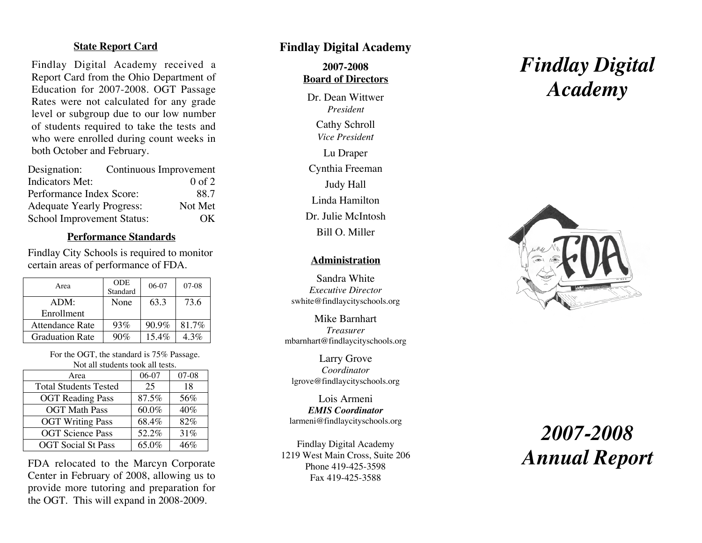#### **State Report Card**

Findlay Digital Academy received a Report Card from the Ohio Department of Education for 2007-2008. OGT Passage Rates were not calculated for any grade level or subgroup due to our low number of students required to take the tests and who were enrolled during count weeks in both October and February.

| Designation:                      | Continuous Improvement |
|-----------------------------------|------------------------|
| <b>Indicators Met:</b>            | $0$ of $2$             |
| Performance Index Score:          | 88.7                   |
| <b>Adequate Yearly Progress:</b>  | Not Met                |
| <b>School Improvement Status:</b> | (X)                    |

### **Performance Standards**

Findlay City Schools is required to monitor certain areas of performance of FDA.

| Area                   | <b>ODE</b><br>Standard | 06-07    | 07-08 |
|------------------------|------------------------|----------|-------|
| ADM:                   | None                   | 63.3     | 73.6  |
| Enrollment             |                        |          |       |
| Attendance Rate        | 93%                    | 90.9%    | 81.7% |
| <b>Graduation Rate</b> | $90\%$                 | $15.4\%$ | 4.3%  |

For the OGT, the standard is 75% Passage. Not all students took all tests.

| Area                         | 06-07 | 07-08 |
|------------------------------|-------|-------|
| <b>Total Students Tested</b> | 25    | 18    |
| <b>OGT</b> Reading Pass      | 87.5% | 56%   |
| <b>OGT</b> Math Pass         | 60.0% | 40%   |
| <b>OGT Writing Pass</b>      | 68.4% | 82%   |
| <b>OGT</b> Science Pass      | 52.2% | 31%   |
| <b>OGT</b> Social St Pass    | 65.0% | 46%   |

FDA relocated to the Marcyn Corporate Center in February of 2008, allowing us to provide more tutoring and preparation for the OGT. This will expand in 2008-2009.

## **Findlay Digital Academy**

**2007-2008 Board of Directors**

Dr. Dean Wittwer *President* Cathy Schroll *Vice Presiden t* Lu Draper Cynthia Freeman Judy Hall Linda Hamilton Dr. Julie McIntosh Bill O. Miller

#### **Administration**

Sandra White *Executive Director* swhite@findlaycityschools.org

Mike Barnhart *Treasurer* mbarnhart@findlaycityschools.org

Larry Grove *Coordinator* lgrove@findlaycityschools.org

Lois Armeni *EMIS Coordinator* larmeni@findlaycityschools.org

Findlay Digital Academy 1219 West Main Cross, Suite 206 Phone 419-425-3598 Fax 419-425-3588

# *Findlay Digital Academy*



## *2007-2008 Annual Report*